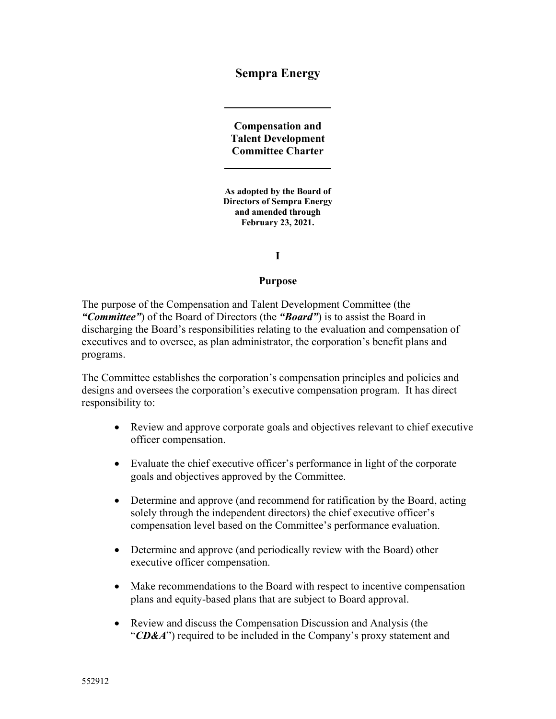**Sempra Energy** 

**Compensation and Talent Development Committee Charter** 

**As adopted by the Board of Directors of Sempra Energy and amended through February 23, 2021.** 

**I**

#### **Purpose**

The purpose of the Compensation and Talent Development Committee (the *"Committee"*) of the Board of Directors (the *"Board"*) is to assist the Board in discharging the Board's responsibilities relating to the evaluation and compensation of executives and to oversee, as plan administrator, the corporation's benefit plans and programs.

The Committee establishes the corporation's compensation principles and policies and designs and oversees the corporation's executive compensation program. It has direct responsibility to:

- Review and approve corporate goals and objectives relevant to chief executive officer compensation.
- Evaluate the chief executive officer's performance in light of the corporate goals and objectives approved by the Committee.
- Determine and approve (and recommend for ratification by the Board, acting solely through the independent directors) the chief executive officer's compensation level based on the Committee's performance evaluation.
- Determine and approve (and periodically review with the Board) other executive officer compensation.
- Make recommendations to the Board with respect to incentive compensation plans and equity-based plans that are subject to Board approval.
- Review and discuss the Compensation Discussion and Analysis (the "*CD&A*") required to be included in the Company's proxy statement and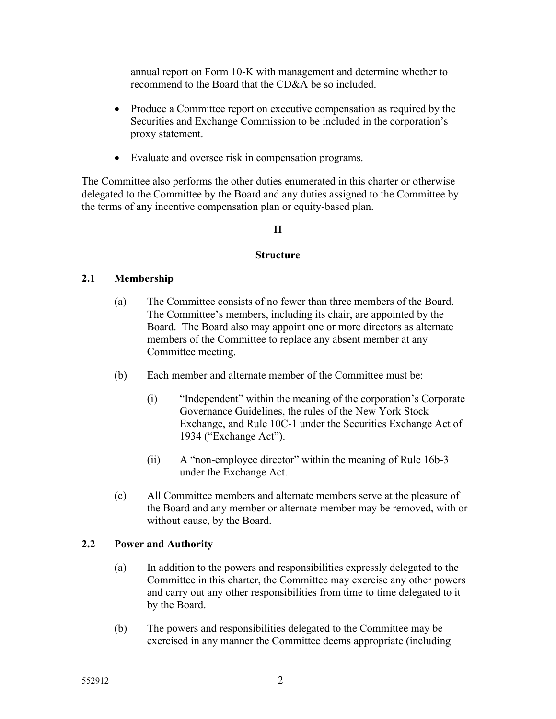annual report on Form 10‐K with management and determine whether to recommend to the Board that the CD&A be so included.

- Produce a Committee report on executive compensation as required by the Securities and Exchange Commission to be included in the corporation's proxy statement.
- Evaluate and oversee risk in compensation programs.

The Committee also performs the other duties enumerated in this charter or otherwise delegated to the Committee by the Board and any duties assigned to the Committee by the terms of any incentive compensation plan or equity-based plan.

## **II**

### **Structure**

## **2.1 Membership**

- (a) The Committee consists of no fewer than three members of the Board. The Committee's members, including its chair, are appointed by the Board. The Board also may appoint one or more directors as alternate members of the Committee to replace any absent member at any Committee meeting.
- (b) Each member and alternate member of the Committee must be:
	- (i) "Independent" within the meaning of the corporation's Corporate Governance Guidelines, the rules of the New York Stock Exchange, and Rule 10C-1 under the Securities Exchange Act of 1934 ("Exchange Act").
	- (ii) A "non-employee director" within the meaning of Rule 16b-3 under the Exchange Act.
- (c) All Committee members and alternate members serve at the pleasure of the Board and any member or alternate member may be removed, with or without cause, by the Board.

## **2.2 Power and Authority**

- (a) In addition to the powers and responsibilities expressly delegated to the Committee in this charter, the Committee may exercise any other powers and carry out any other responsibilities from time to time delegated to it by the Board.
- (b) The powers and responsibilities delegated to the Committee may be exercised in any manner the Committee deems appropriate (including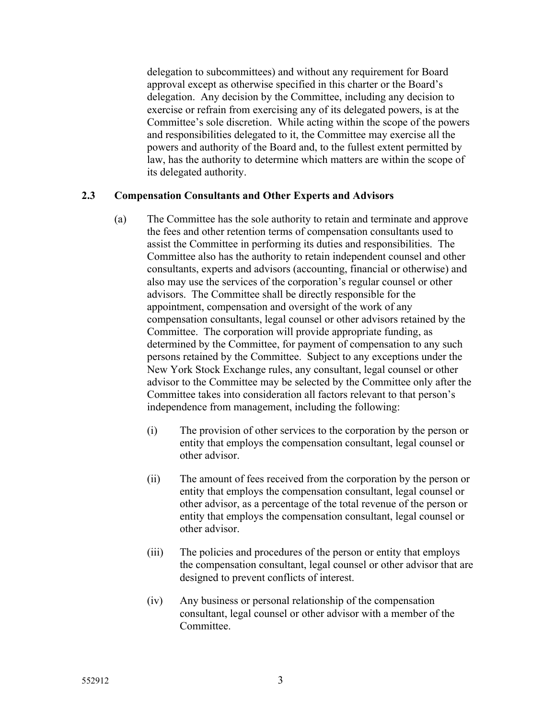delegation to subcommittees) and without any requirement for Board approval except as otherwise specified in this charter or the Board's delegation. Any decision by the Committee, including any decision to exercise or refrain from exercising any of its delegated powers, is at the Committee's sole discretion. While acting within the scope of the powers and responsibilities delegated to it, the Committee may exercise all the powers and authority of the Board and, to the fullest extent permitted by law, has the authority to determine which matters are within the scope of its delegated authority.

## **2.3 Compensation Consultants and Other Experts and Advisors**

- (a) The Committee has the sole authority to retain and terminate and approve the fees and other retention terms of compensation consultants used to assist the Committee in performing its duties and responsibilities. The Committee also has the authority to retain independent counsel and other consultants, experts and advisors (accounting, financial or otherwise) and also may use the services of the corporation's regular counsel or other advisors. The Committee shall be directly responsible for the appointment, compensation and oversight of the work of any compensation consultants, legal counsel or other advisors retained by the Committee. The corporation will provide appropriate funding, as determined by the Committee, for payment of compensation to any such persons retained by the Committee. Subject to any exceptions under the New York Stock Exchange rules, any consultant, legal counsel or other advisor to the Committee may be selected by the Committee only after the Committee takes into consideration all factors relevant to that person's independence from management, including the following:
	- (i) The provision of other services to the corporation by the person or entity that employs the compensation consultant, legal counsel or other advisor.
	- (ii) The amount of fees received from the corporation by the person or entity that employs the compensation consultant, legal counsel or other advisor, as a percentage of the total revenue of the person or entity that employs the compensation consultant, legal counsel or other advisor.
	- (iii) The policies and procedures of the person or entity that employs the compensation consultant, legal counsel or other advisor that are designed to prevent conflicts of interest.
	- (iv) Any business or personal relationship of the compensation consultant, legal counsel or other advisor with a member of the Committee.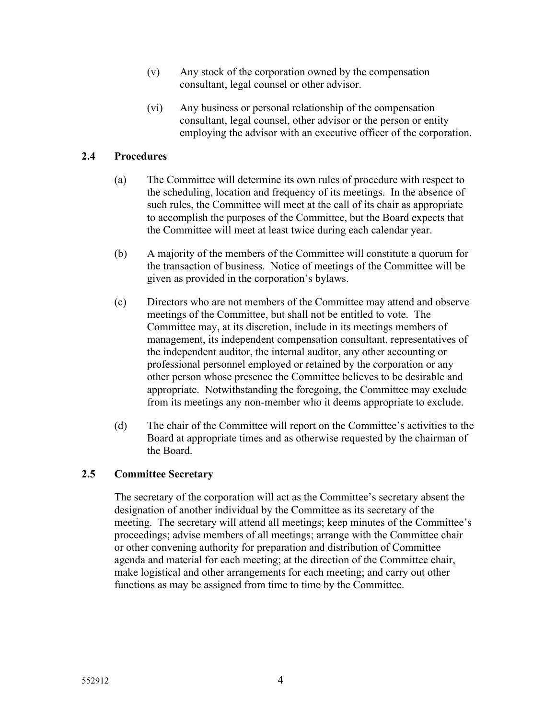- (v) Any stock of the corporation owned by the compensation consultant, legal counsel or other advisor.
- (vi) Any business or personal relationship of the compensation consultant, legal counsel, other advisor or the person or entity employing the advisor with an executive officer of the corporation.

# **2.4 Procedures**

- (a) The Committee will determine its own rules of procedure with respect to the scheduling, location and frequency of its meetings. In the absence of such rules, the Committee will meet at the call of its chair as appropriate to accomplish the purposes of the Committee, but the Board expects that the Committee will meet at least twice during each calendar year.
- (b) A majority of the members of the Committee will constitute a quorum for the transaction of business. Notice of meetings of the Committee will be given as provided in the corporation's bylaws.
- (c) Directors who are not members of the Committee may attend and observe meetings of the Committee, but shall not be entitled to vote. The Committee may, at its discretion, include in its meetings members of management, its independent compensation consultant, representatives of the independent auditor, the internal auditor, any other accounting or professional personnel employed or retained by the corporation or any other person whose presence the Committee believes to be desirable and appropriate. Notwithstanding the foregoing, the Committee may exclude from its meetings any non-member who it deems appropriate to exclude.
- (d) The chair of the Committee will report on the Committee's activities to the Board at appropriate times and as otherwise requested by the chairman of the Board.

## **2.5 Committee Secretary**

The secretary of the corporation will act as the Committee's secretary absent the designation of another individual by the Committee as its secretary of the meeting. The secretary will attend all meetings; keep minutes of the Committee's proceedings; advise members of all meetings; arrange with the Committee chair or other convening authority for preparation and distribution of Committee agenda and material for each meeting; at the direction of the Committee chair, make logistical and other arrangements for each meeting; and carry out other functions as may be assigned from time to time by the Committee.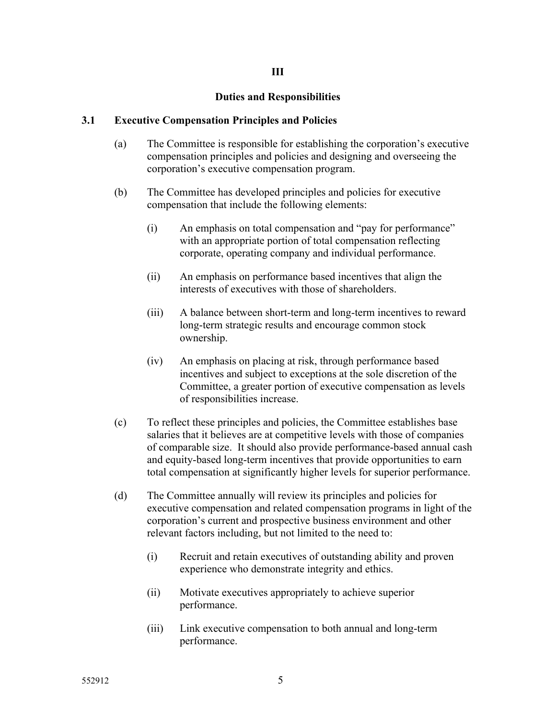## **III**

### **Duties and Responsibilities**

#### **3.1 Executive Compensation Principles and Policies**

- (a) The Committee is responsible for establishing the corporation's executive compensation principles and policies and designing and overseeing the corporation's executive compensation program.
- (b) The Committee has developed principles and policies for executive compensation that include the following elements:
	- (i) An emphasis on total compensation and "pay for performance" with an appropriate portion of total compensation reflecting corporate, operating company and individual performance.
	- (ii) An emphasis on performance based incentives that align the interests of executives with those of shareholders.
	- (iii) A balance between short-term and long-term incentives to reward long-term strategic results and encourage common stock ownership.
	- (iv) An emphasis on placing at risk, through performance based incentives and subject to exceptions at the sole discretion of the Committee, a greater portion of executive compensation as levels of responsibilities increase.
- (c) To reflect these principles and policies, the Committee establishes base salaries that it believes are at competitive levels with those of companies of comparable size. It should also provide performance-based annual cash and equity-based long-term incentives that provide opportunities to earn total compensation at significantly higher levels for superior performance.
- (d) The Committee annually will review its principles and policies for executive compensation and related compensation programs in light of the corporation's current and prospective business environment and other relevant factors including, but not limited to the need to:
	- (i) Recruit and retain executives of outstanding ability and proven experience who demonstrate integrity and ethics.
	- (ii) Motivate executives appropriately to achieve superior performance.
	- (iii) Link executive compensation to both annual and long-term performance.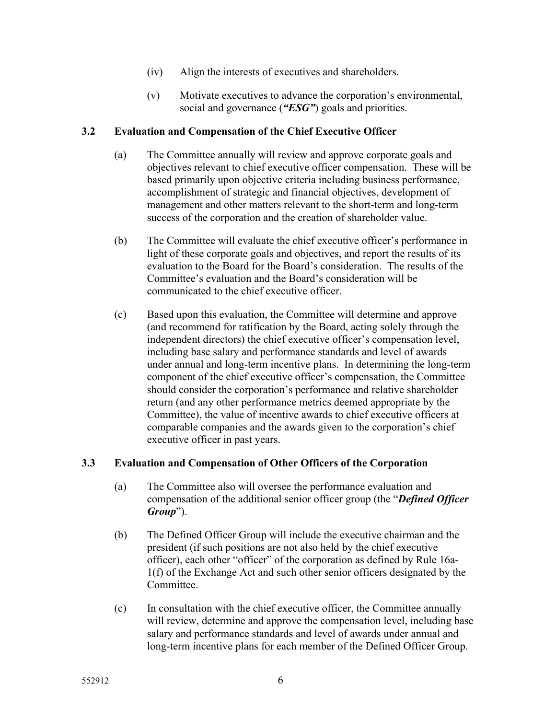- (iv) Align the interests of executives and shareholders.
- (v) Motivate executives to advance the corporation's environmental, social and governance (*"ESG"*) goals and priorities.

## **3.2 Evaluation and Compensation of the Chief Executive Officer**

- (a) The Committee annually will review and approve corporate goals and objectives relevant to chief executive officer compensation. These will be based primarily upon objective criteria including business performance, accomplishment of strategic and financial objectives, development of management and other matters relevant to the short-term and long-term success of the corporation and the creation of shareholder value.
- (b) The Committee will evaluate the chief executive officer's performance in light of these corporate goals and objectives, and report the results of its evaluation to the Board for the Board's consideration. The results of the Committee's evaluation and the Board's consideration will be communicated to the chief executive officer.
- (c) Based upon this evaluation, the Committee will determine and approve (and recommend for ratification by the Board, acting solely through the independent directors) the chief executive officer's compensation level, including base salary and performance standards and level of awards under annual and long-term incentive plans. In determining the long-term component of the chief executive officer's compensation, the Committee should consider the corporation's performance and relative shareholder return (and any other performance metrics deemed appropriate by the Committee), the value of incentive awards to chief executive officers at comparable companies and the awards given to the corporation's chief executive officer in past years.

# **3.3 Evaluation and Compensation of Other Officers of the Corporation**

- (a) The Committee also will oversee the performance evaluation and compensation of the additional senior officer group (the "*Defined Officer Group*").
- (b) The Defined Officer Group will include the executive chairman and the president (if such positions are not also held by the chief executive officer), each other "officer" of the corporation as defined by Rule 16a-1(f) of the Exchange Act and such other senior officers designated by the Committee.
- (c) In consultation with the chief executive officer, the Committee annually will review, determine and approve the compensation level, including base salary and performance standards and level of awards under annual and long-term incentive plans for each member of the Defined Officer Group.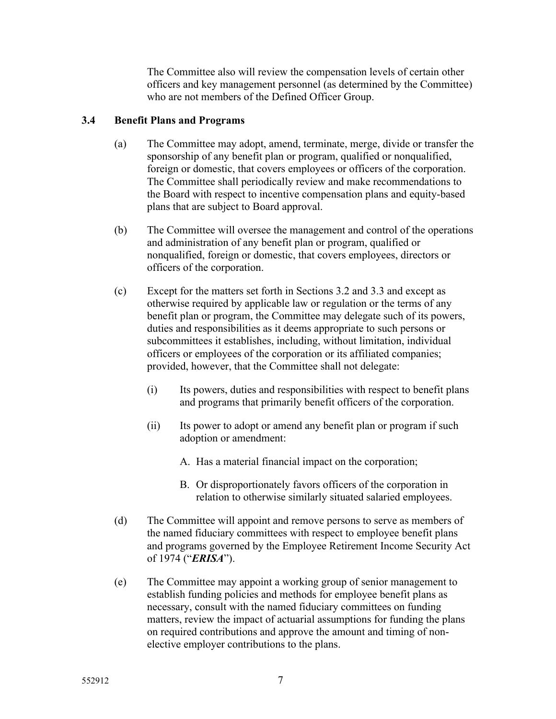The Committee also will review the compensation levels of certain other officers and key management personnel (as determined by the Committee) who are not members of the Defined Officer Group.

## **3.4 Benefit Plans and Programs**

- (a) The Committee may adopt, amend, terminate, merge, divide or transfer the sponsorship of any benefit plan or program, qualified or nonqualified, foreign or domestic, that covers employees or officers of the corporation. The Committee shall periodically review and make recommendations to the Board with respect to incentive compensation plans and equity-based plans that are subject to Board approval.
- (b) The Committee will oversee the management and control of the operations and administration of any benefit plan or program, qualified or nonqualified, foreign or domestic, that covers employees, directors or officers of the corporation.
- (c) Except for the matters set forth in Sections 3.2 and 3.3 and except as otherwise required by applicable law or regulation or the terms of any benefit plan or program, the Committee may delegate such of its powers, duties and responsibilities as it deems appropriate to such persons or subcommittees it establishes, including, without limitation, individual officers or employees of the corporation or its affiliated companies; provided, however, that the Committee shall not delegate:
	- (i) Its powers, duties and responsibilities with respect to benefit plans and programs that primarily benefit officers of the corporation.
	- (ii) Its power to adopt or amend any benefit plan or program if such adoption or amendment:
		- A. Has a material financial impact on the corporation;
		- B. Or disproportionately favors officers of the corporation in relation to otherwise similarly situated salaried employees.
- (d) The Committee will appoint and remove persons to serve as members of the named fiduciary committees with respect to employee benefit plans and programs governed by the Employee Retirement Income Security Act of 1974 ("*ERISA*").
- (e) The Committee may appoint a working group of senior management to establish funding policies and methods for employee benefit plans as necessary, consult with the named fiduciary committees on funding matters, review the impact of actuarial assumptions for funding the plans on required contributions and approve the amount and timing of nonelective employer contributions to the plans.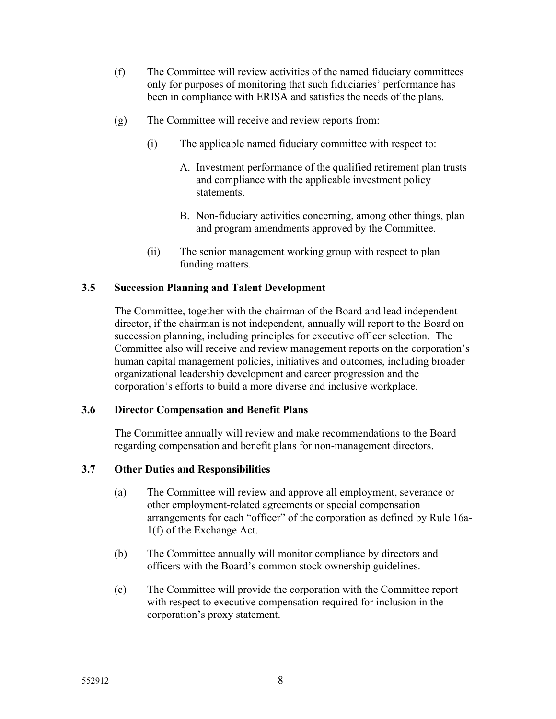- (f) The Committee will review activities of the named fiduciary committees only for purposes of monitoring that such fiduciaries' performance has been in compliance with ERISA and satisfies the needs of the plans.
- (g) The Committee will receive and review reports from:
	- (i) The applicable named fiduciary committee with respect to:
		- A. Investment performance of the qualified retirement plan trusts and compliance with the applicable investment policy statements.
		- B. Non-fiduciary activities concerning, among other things, plan and program amendments approved by the Committee.
	- (ii) The senior management working group with respect to plan funding matters.

## **3.5 Succession Planning and Talent Development**

The Committee, together with the chairman of the Board and lead independent director, if the chairman is not independent, annually will report to the Board on succession planning, including principles for executive officer selection. The Committee also will receive and review management reports on the corporation's human capital management policies, initiatives and outcomes, including broader organizational leadership development and career progression and the corporation's efforts to build a more diverse and inclusive workplace.

## **3.6 Director Compensation and Benefit Plans**

The Committee annually will review and make recommendations to the Board regarding compensation and benefit plans for non-management directors.

## **3.7 Other Duties and Responsibilities**

- (a) The Committee will review and approve all employment, severance or other employment-related agreements or special compensation arrangements for each "officer" of the corporation as defined by Rule 16a-1(f) of the Exchange Act.
- (b) The Committee annually will monitor compliance by directors and officers with the Board's common stock ownership guidelines.
- (c) The Committee will provide the corporation with the Committee report with respect to executive compensation required for inclusion in the corporation's proxy statement.